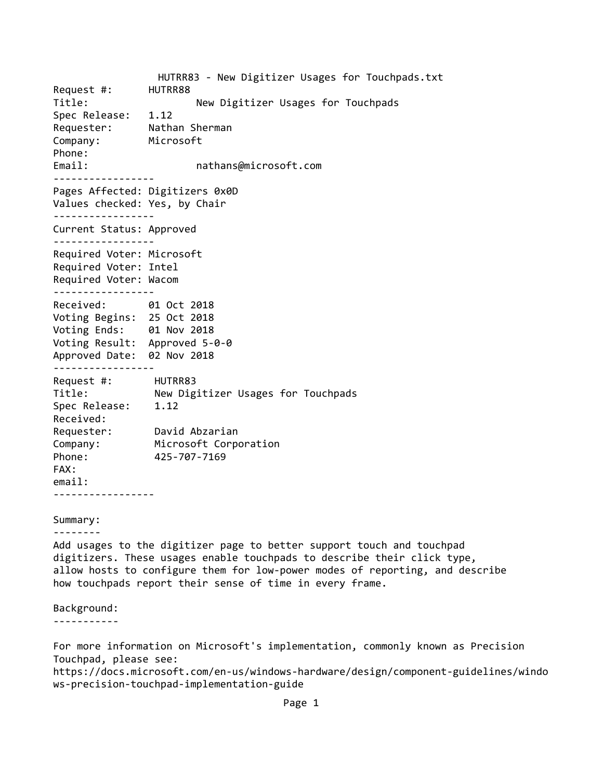HUTRR83 ‐ New Digitizer Usages for Touchpads.txt Request #: HUTRR88 Title: *New Digitizer Usages for Touchpads* Spec Release: 1.12 Requester: Nathan Sherman Company: Microsoft Phone: Email:  $and$  nathans@microsoft.com ‐‐‐‐‐‐‐‐‐‐‐‐‐‐‐‐‐ Pages Affected: Digitizers 0x0D Values checked: Yes, by Chair ‐‐‐‐‐‐‐‐‐‐‐‐‐‐‐‐‐ Current Status: Approved ‐‐‐‐‐‐‐‐‐‐‐‐‐‐‐‐‐ Required Voter: Microsoft Required Voter: Intel Required Voter: Wacom ‐‐‐‐‐‐‐‐‐‐‐‐‐‐‐‐‐ Received: 01 Oct 2018 Voting Begins: 25 Oct 2018 Voting Ends: 01 Nov 2018 Voting Result: Approved 5‐0‐0 Approved Date: 02 Nov 2018 ‐‐‐‐‐‐‐‐‐‐‐‐‐‐‐‐‐ Request #: HUTRR83 Title: New Digitizer Usages for Touchpads Spec Release: 1.12 Received: Requester: David Abzarian Company: Microsoft Corporation Phone: 425‐707‐7169 FAX: email: ‐‐‐‐‐‐‐‐‐‐‐‐‐‐‐‐‐ Summary: ‐‐‐‐‐‐‐‐ Add usages to the digitizer page to better support touch and touchpad digitizers. These usages enable touchpads to describe their click type, allow hosts to configure them for low‐power modes of reporting, and describe how touchpads report their sense of time in every frame. Background: ‐‐‐‐‐‐‐‐‐‐‐

Touchpad, please see: https://docs.microsoft.com/en‐us/windows‐hardware/design/component‐guidelines/windo ws‐precision‐touchpad‐implementation‐guide

For more information on Microsoft's implementation, commonly known as Precision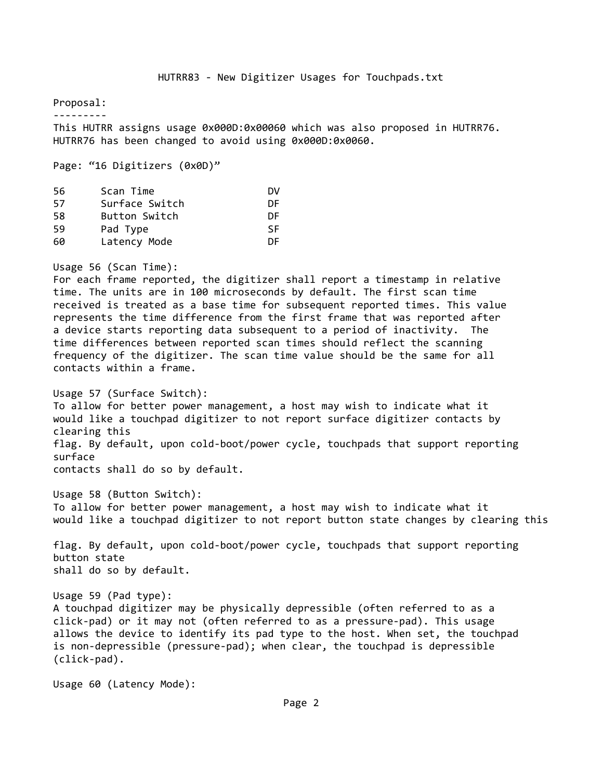Proposal:

‐‐‐‐‐‐‐‐‐

This HUTRR assigns usage 0x000D:0x00060 which was also proposed in HUTRR76. HUTRR76 has been changed to avoid using 0x000D:0x0060.

Page: "16 Digitizers (0x0D)"

| 56 | Scan Time            | DV |
|----|----------------------|----|
| 57 | Surface Switch       | DF |
| 58 | <b>Button Switch</b> | DF |
| 59 | Pad Type             | SF |
| 60 | Latency Mode         | DF |

Usage 56 (Scan Time):

For each frame reported, the digitizer shall report a timestamp in relative time. The units are in 100 microseconds by default. The first scan time received is treated as a base time for subsequent reported times. This value represents the time difference from the first frame that was reported after a device starts reporting data subsequent to a period of inactivity. The time differences between reported scan times should reflect the scanning frequency of the digitizer. The scan time value should be the same for all contacts within a frame.

Usage 57 (Surface Switch): To allow for better power management, a host may wish to indicate what it would like a touchpad digitizer to not report surface digitizer contacts by clearing this flag. By default, upon cold‐boot/power cycle, touchpads that support reporting surface contacts shall do so by default.

Usage 58 (Button Switch): To allow for better power management, a host may wish to indicate what it would like a touchpad digitizer to not report button state changes by clearing this

flag. By default, upon cold‐boot/power cycle, touchpads that support reporting button state shall do so by default.

Usage 59 (Pad type): A touchpad digitizer may be physically depressible (often referred to as a click‐pad) or it may not (often referred to as a pressure‐pad). This usage allows the device to identify its pad type to the host. When set, the touchpad is non‐depressible (pressure‐pad); when clear, the touchpad is depressible (click‐pad).

Usage 60 (Latency Mode):